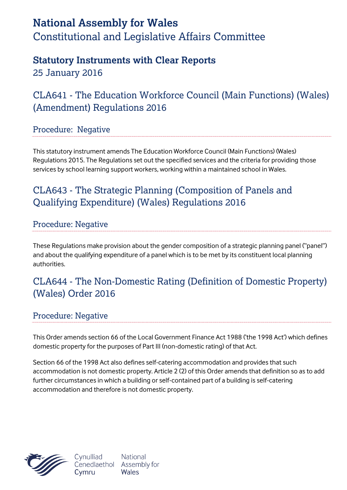# **National Assembly for Wales** Constitutional and Legislative Affairs Committee

## **Statutory Instruments with Clear Reports**

25 January 2016

## CLA641 - The Education Workforce Council (Main Functions) (Wales) (Amendment) Regulations 2016

### Procedure: Negative

This statutory instrument amends The Education Workforce Council (Main Functions) (Wales) Regulations 2015. The Regulations set out the specified services and the criteria for providing those services by school learning support workers, working within a maintained school in Wales.

## CLA643 - The Strategic Planning (Composition of Panels and Qualifying Expenditure) (Wales) Regulations 2016

### Procedure: Negative

These Regulations make provision about the gender composition of a strategic planning panel ("panel") and about the qualifying expenditure of a panel which is to be met by its constituent local planning authorities.

## CLA644 - The Non-Domestic Rating (Definition of Domestic Property) (Wales) Order 2016

### Procedure: Negative

This Order amends section 66 of the Local Government Finance Act 1988 ('the 1998 Act') which defines domestic property for the purposes of Part III (non-domestic rating) of that Act.

Section 66 of the 1998 Act also defines self-catering accommodation and provides that such accommodation is not domestic property. Article 2 (2) of this Order amends that definition so as to add further circumstances in which a building or self-contained part of a building is self-catering accommodation and therefore is not domestic property.



Cynulliad Cenedlaethol Cvmru

**National** Assembly for Wales